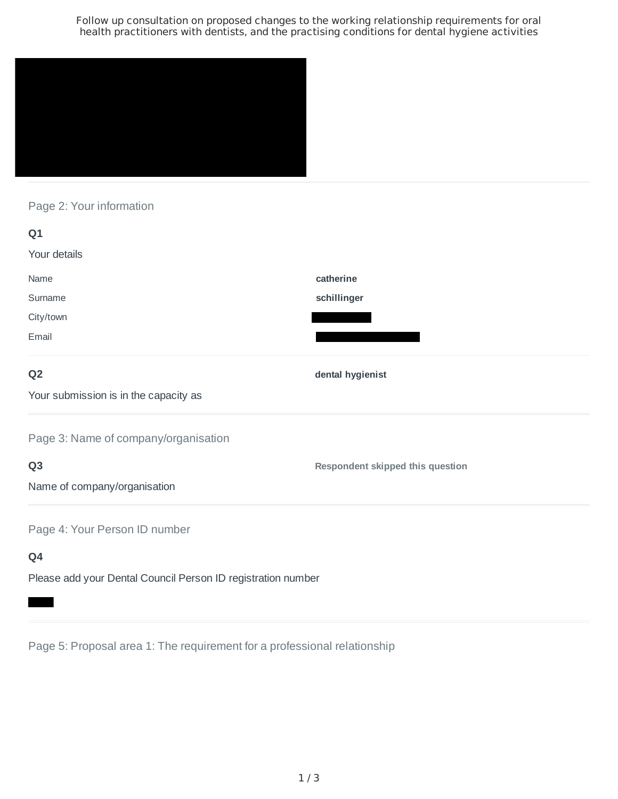Follow up consultation on proposed changes to the working relationship requirements for oral health practitioners with dentists, and the practising conditions for dental hygiene activities



# Page 2: Your information

| Q1                                                           |                                         |
|--------------------------------------------------------------|-----------------------------------------|
| Your details                                                 |                                         |
| Name                                                         | catherine                               |
| Surname                                                      | schillinger                             |
| City/town                                                    |                                         |
| Email                                                        |                                         |
| Q <sub>2</sub>                                               | dental hygienist                        |
| Your submission is in the capacity as                        |                                         |
| Page 3: Name of company/organisation                         |                                         |
| Q <sub>3</sub>                                               | <b>Respondent skipped this question</b> |
| Name of company/organisation                                 |                                         |
| Page 4: Your Person ID number                                |                                         |
| Q4                                                           |                                         |
| Please add your Dental Council Person ID registration number |                                         |

Page 5: Proposal area 1: The requirement for a professional relationship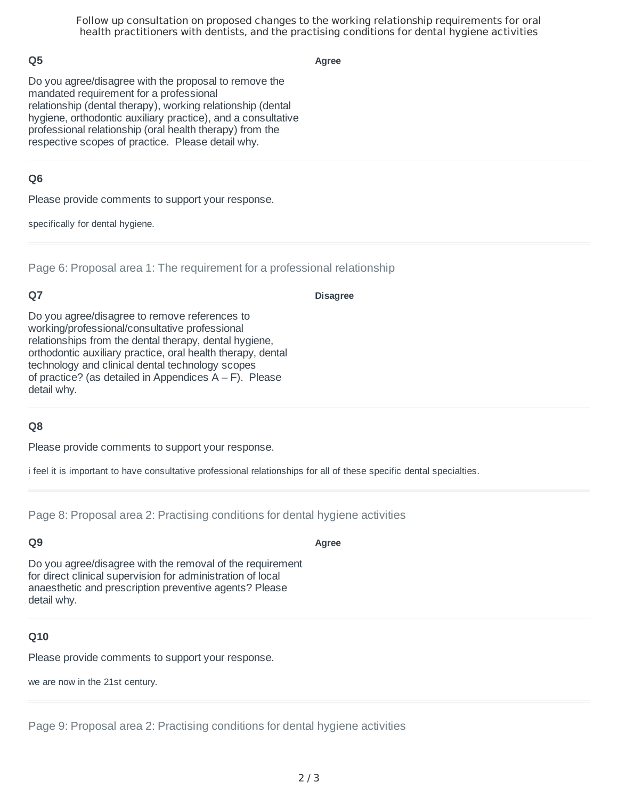Follow up consultation on proposed changes to the working relationship requirements for oral health practitioners with dentists, and the practising conditions for dental hygiene activities

### **Q5**

**Agree**

Do you agree/disagree with the proposal to remove the mandated requirement for a professional relationship (dental therapy), working relationship (dental hygiene, orthodontic auxiliary practice), and a consultative professional relationship (oral health therapy) from the respective scopes of practice. Please detail why.

### **Q6**

Please provide comments to support your response.

specifically for dental hygiene.

Page 6: Proposal area 1: The requirement for a professional relationship

### **Q7**

#### **Disagree**

Do you agree/disagree to remove references to working/professional/consultative professional relationships from the dental therapy, dental hygiene, orthodontic auxiliary practice, oral health therapy, dental technology and clinical dental technology scopes of practice? (as detailed in Appendices  $A - F$ ). Please detail why.

# **Q8**

Please provide comments to support your response.

i feel it is important to have consultative professional relationships for all of these specific dental specialties.

Page 8: Proposal area 2: Practising conditions for dental hygiene activities

# **Q9**

#### **Agree**

Do you agree/disagree with the removal of the requirement for direct clinical supervision for administration of local anaesthetic and prescription preventive agents? Please detail why.

#### **Q10**

Please provide comments to support your response.

we are now in the 21st century.

Page 9: Proposal area 2: Practising conditions for dental hygiene activities